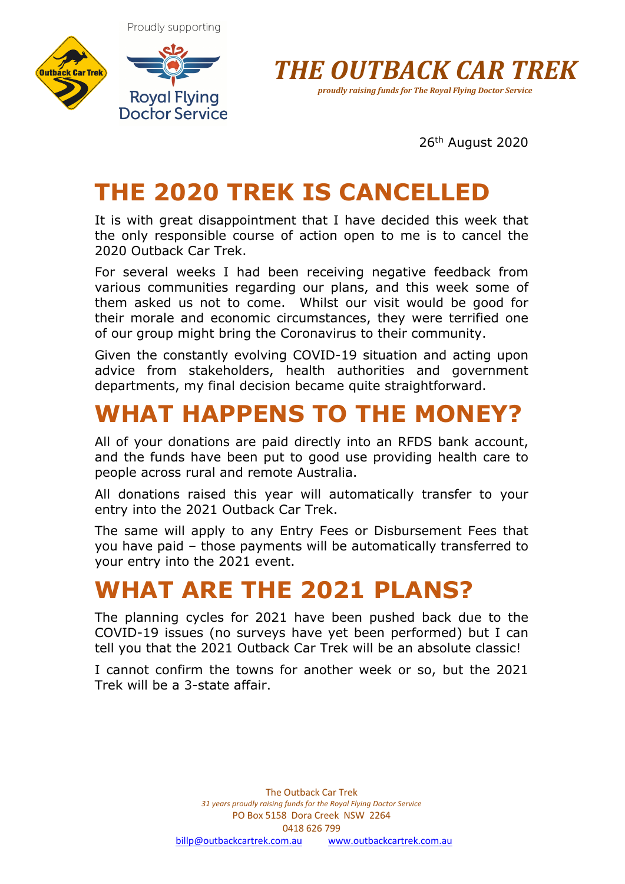



26th August 2020

## **THE 2020 TREK IS CANCELLED**

It is with great disappointment that I have decided this week that the only responsible course of action open to me is to cancel the 2020 Outback Car Trek.

For several weeks I had been receiving negative feedback from various communities regarding our plans, and this week some of them asked us not to come. Whilst our visit would be good for their morale and economic circumstances, they were terrified one of our group might bring the Coronavirus to their community.

Given the constantly evolving COVID-19 situation and acting upon advice from stakeholders, health authorities and government departments, my final decision became quite straightforward.

### **WHAT HAPPENS TO THE MONEY?**

All of your donations are paid directly into an RFDS bank account, and the funds have been put to good use providing health care to people across rural and remote Australia.

All donations raised this year will automatically transfer to your entry into the 2021 Outback Car Trek.

The same will apply to any Entry Fees or Disbursement Fees that you have paid – those payments will be automatically transferred to your entry into the 2021 event.

## **WHAT ARE THE 2021 PLANS?**

The planning cycles for 2021 have been pushed back due to the COVID-19 issues (no surveys have yet been performed) but I can tell you that the 2021 Outback Car Trek will be an absolute classic!

I cannot confirm the towns for another week or so, but the 2021 Trek will be a 3-state affair.